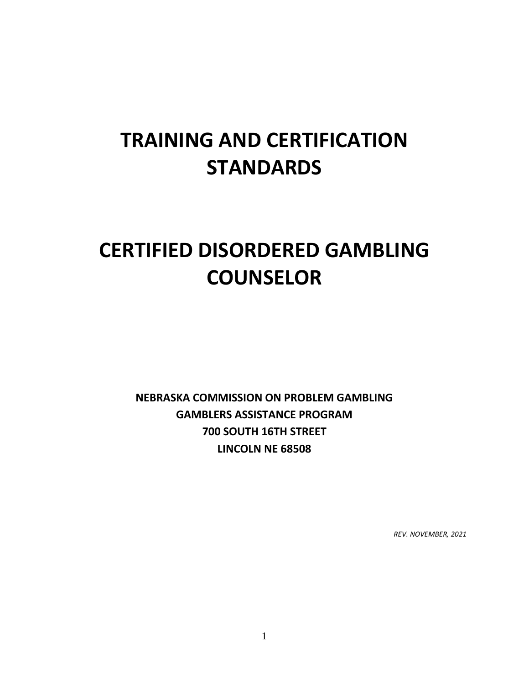# **TRAINING AND CERTIFICATION STANDARDS**

# **CERTIFIED DISORDERED GAMBLING COUNSELOR**

**NEBRASKA COMMISSION ON PROBLEM GAMBLING GAMBLERS ASSISTANCE PROGRAM 700 SOUTH 16TH STREET LINCOLN NE 68508**

*REV. NOVEMBER, 2021*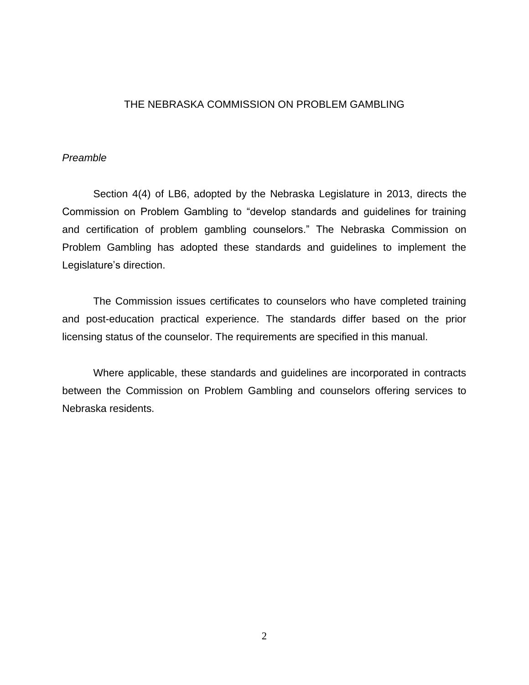#### THE NEBRASKA COMMISSION ON PROBLEM GAMBLING

#### *Preamble*

Section 4(4) of LB6, adopted by the Nebraska Legislature in 2013, directs the Commission on Problem Gambling to "develop standards and guidelines for training and certification of problem gambling counselors." The Nebraska Commission on Problem Gambling has adopted these standards and guidelines to implement the Legislature's direction.

The Commission issues certificates to counselors who have completed training and post-education practical experience. The standards differ based on the prior licensing status of the counselor. The requirements are specified in this manual.

Where applicable, these standards and guidelines are incorporated in contracts between the Commission on Problem Gambling and counselors offering services to Nebraska residents.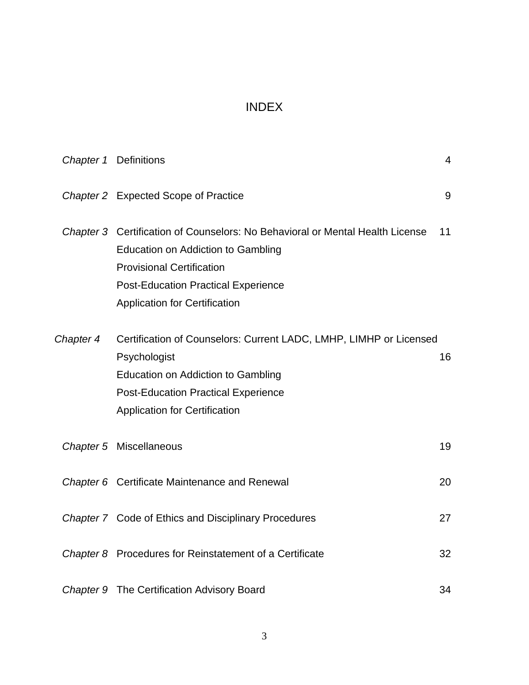## INDEX

|           | Chapter 1 Definitions                                                                                                                                                                                                                                | 4  |
|-----------|------------------------------------------------------------------------------------------------------------------------------------------------------------------------------------------------------------------------------------------------------|----|
|           | Chapter 2 Expected Scope of Practice                                                                                                                                                                                                                 | 9  |
|           | Chapter 3 Certification of Counselors: No Behavioral or Mental Health License<br><b>Education on Addiction to Gambling</b><br><b>Provisional Certification</b><br><b>Post-Education Practical Experience</b><br><b>Application for Certification</b> | 11 |
| Chapter 4 | Certification of Counselors: Current LADC, LMHP, LIMHP or Licensed<br>Psychologist<br><b>Education on Addiction to Gambling</b><br><b>Post-Education Practical Experience</b><br><b>Application for Certification</b>                                | 16 |
|           | Chapter 5 Miscellaneous                                                                                                                                                                                                                              | 19 |
|           | Chapter 6 Certificate Maintenance and Renewal                                                                                                                                                                                                        | 20 |
|           | Chapter 7 Code of Ethics and Disciplinary Procedures                                                                                                                                                                                                 | 27 |
|           | Chapter 8 Procedures for Reinstatement of a Certificate                                                                                                                                                                                              | 32 |
|           | Chapter 9 The Certification Advisory Board                                                                                                                                                                                                           | 34 |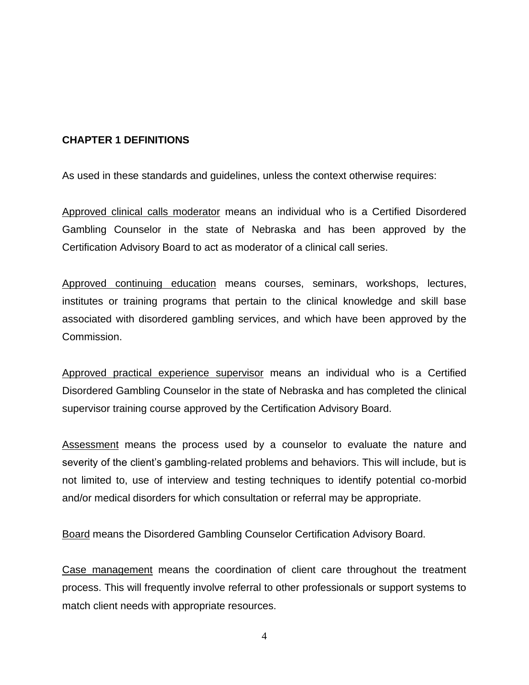#### **CHAPTER 1 DEFINITIONS**

As used in these standards and guidelines, unless the context otherwise requires:

Approved clinical calls moderator means an individual who is a Certified Disordered Gambling Counselor in the state of Nebraska and has been approved by the Certification Advisory Board to act as moderator of a clinical call series.

Approved continuing education means courses, seminars, workshops, lectures, institutes or training programs that pertain to the clinical knowledge and skill base associated with disordered gambling services, and which have been approved by the Commission.

Approved practical experience supervisor means an individual who is a Certified Disordered Gambling Counselor in the state of Nebraska and has completed the clinical supervisor training course approved by the Certification Advisory Board.

Assessment means the process used by a counselor to evaluate the nature and severity of the client's gambling-related problems and behaviors. This will include, but is not limited to, use of interview and testing techniques to identify potential co-morbid and/or medical disorders for which consultation or referral may be appropriate.

Board means the Disordered Gambling Counselor Certification Advisory Board.

Case management means the coordination of client care throughout the treatment process. This will frequently involve referral to other professionals or support systems to match client needs with appropriate resources.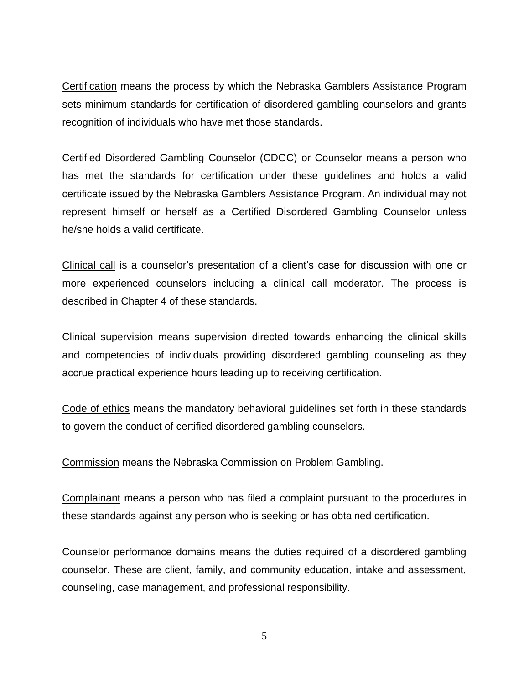Certification means the process by which the Nebraska Gamblers Assistance Program sets minimum standards for certification of disordered gambling counselors and grants recognition of individuals who have met those standards.

Certified Disordered Gambling Counselor (CDGC) or Counselor means a person who has met the standards for certification under these guidelines and holds a valid certificate issued by the Nebraska Gamblers Assistance Program. An individual may not represent himself or herself as a Certified Disordered Gambling Counselor unless he/she holds a valid certificate.

Clinical call is a counselor's presentation of a client's case for discussion with one or more experienced counselors including a clinical call moderator. The process is described in Chapter 4 of these standards.

Clinical supervision means supervision directed towards enhancing the clinical skills and competencies of individuals providing disordered gambling counseling as they accrue practical experience hours leading up to receiving certification.

Code of ethics means the mandatory behavioral guidelines set forth in these standards to govern the conduct of certified disordered gambling counselors.

Commission means the Nebraska Commission on Problem Gambling.

Complainant means a person who has filed a complaint pursuant to the procedures in these standards against any person who is seeking or has obtained certification.

Counselor performance domains means the duties required of a disordered gambling counselor. These are client, family, and community education, intake and assessment, counseling, case management, and professional responsibility.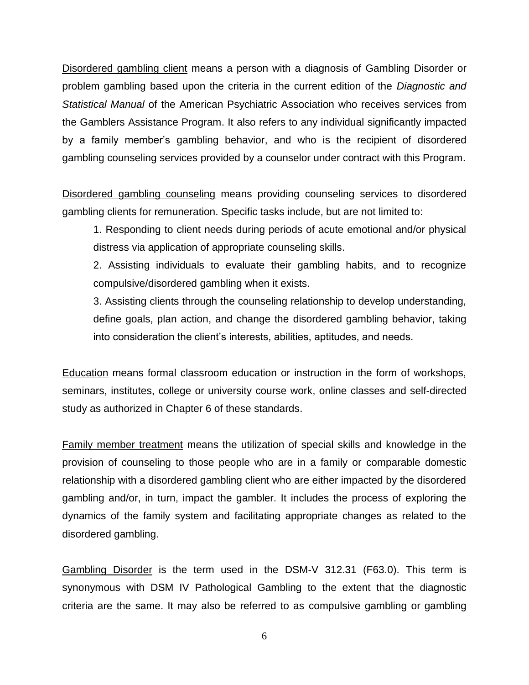Disordered gambling client means a person with a diagnosis of Gambling Disorder or problem gambling based upon the criteria in the current edition of the *Diagnostic and Statistical Manual* of the American Psychiatric Association who receives services from the Gamblers Assistance Program. It also refers to any individual significantly impacted by a family member's gambling behavior, and who is the recipient of disordered gambling counseling services provided by a counselor under contract with this Program.

Disordered gambling counseling means providing counseling services to disordered gambling clients for remuneration. Specific tasks include, but are not limited to:

1. Responding to client needs during periods of acute emotional and/or physical distress via application of appropriate counseling skills.

2. Assisting individuals to evaluate their gambling habits, and to recognize compulsive/disordered gambling when it exists.

3. Assisting clients through the counseling relationship to develop understanding, define goals, plan action, and change the disordered gambling behavior, taking into consideration the client's interests, abilities, aptitudes, and needs.

Education means formal classroom education or instruction in the form of workshops, seminars, institutes, college or university course work, online classes and self-directed study as authorized in Chapter 6 of these standards.

Family member treatment means the utilization of special skills and knowledge in the provision of counseling to those people who are in a family or comparable domestic relationship with a disordered gambling client who are either impacted by the disordered gambling and/or, in turn, impact the gambler. It includes the process of exploring the dynamics of the family system and facilitating appropriate changes as related to the disordered gambling.

Gambling Disorder is the term used in the DSM-V 312.31 (F63.0). This term is synonymous with DSM IV Pathological Gambling to the extent that the diagnostic criteria are the same. It may also be referred to as compulsive gambling or gambling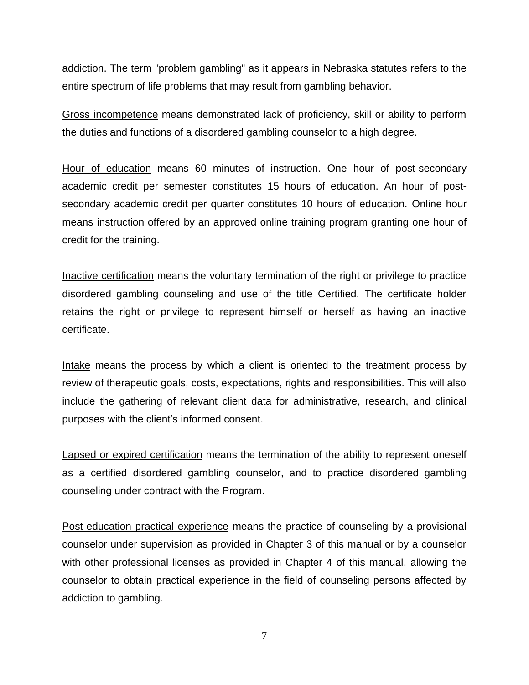addiction. The term "problem gambling" as it appears in Nebraska statutes refers to the entire spectrum of life problems that may result from gambling behavior.

Gross incompetence means demonstrated lack of proficiency, skill or ability to perform the duties and functions of a disordered gambling counselor to a high degree.

Hour of education means 60 minutes of instruction. One hour of post-secondary academic credit per semester constitutes 15 hours of education. An hour of postsecondary academic credit per quarter constitutes 10 hours of education. Online hour means instruction offered by an approved online training program granting one hour of credit for the training.

Inactive certification means the voluntary termination of the right or privilege to practice disordered gambling counseling and use of the title Certified. The certificate holder retains the right or privilege to represent himself or herself as having an inactive certificate.

Intake means the process by which a client is oriented to the treatment process by review of therapeutic goals, costs, expectations, rights and responsibilities. This will also include the gathering of relevant client data for administrative, research, and clinical purposes with the client's informed consent.

Lapsed or expired certification means the termination of the ability to represent oneself as a certified disordered gambling counselor, and to practice disordered gambling counseling under contract with the Program.

Post-education practical experience means the practice of counseling by a provisional counselor under supervision as provided in Chapter 3 of this manual or by a counselor with other professional licenses as provided in Chapter 4 of this manual, allowing the counselor to obtain practical experience in the field of counseling persons affected by addiction to gambling.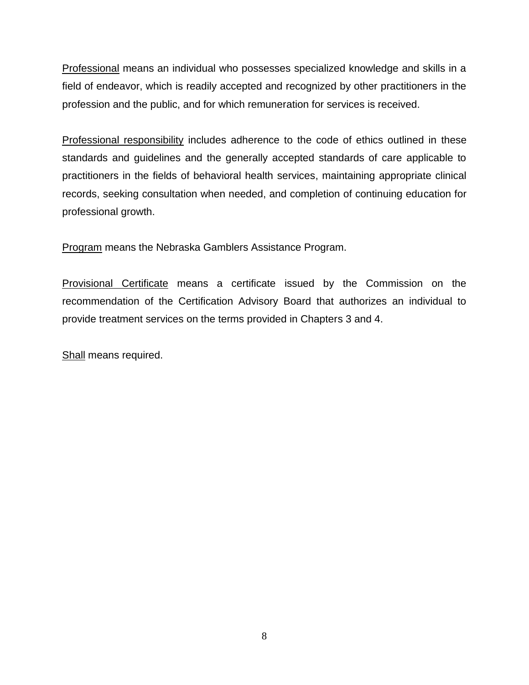Professional means an individual who possesses specialized knowledge and skills in a field of endeavor, which is readily accepted and recognized by other practitioners in the profession and the public, and for which remuneration for services is received.

Professional responsibility includes adherence to the code of ethics outlined in these standards and guidelines and the generally accepted standards of care applicable to practitioners in the fields of behavioral health services, maintaining appropriate clinical records, seeking consultation when needed, and completion of continuing education for professional growth.

Program means the Nebraska Gamblers Assistance Program.

Provisional Certificate means a certificate issued by the Commission on the recommendation of the Certification Advisory Board that authorizes an individual to provide treatment services on the terms provided in Chapters 3 and 4.

Shall means required.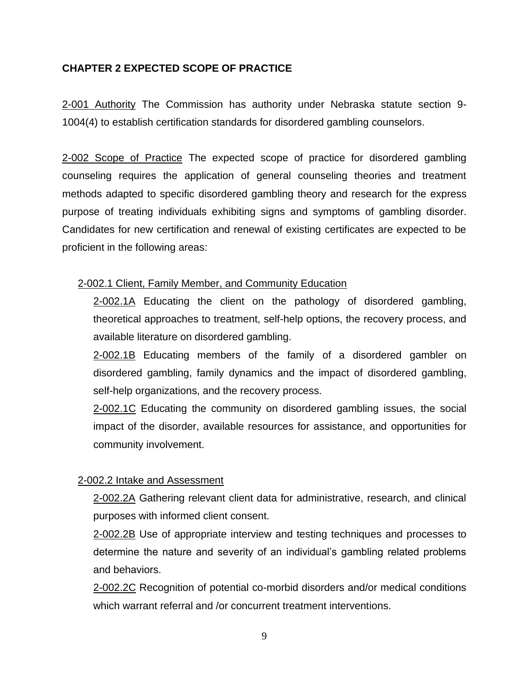#### **CHAPTER 2 EXPECTED SCOPE OF PRACTICE**

2-001 Authority The Commission has authority under Nebraska statute section 9- 1004(4) to establish certification standards for disordered gambling counselors.

2-002 Scope of Practice The expected scope of practice for disordered gambling counseling requires the application of general counseling theories and treatment methods adapted to specific disordered gambling theory and research for the express purpose of treating individuals exhibiting signs and symptoms of gambling disorder. Candidates for new certification and renewal of existing certificates are expected to be proficient in the following areas:

#### 2-002.1 Client, Family Member, and Community Education

2-002.1A Educating the client on the pathology of disordered gambling, theoretical approaches to treatment, self-help options, the recovery process, and available literature on disordered gambling.

2-002.1B Educating members of the family of a disordered gambler on disordered gambling, family dynamics and the impact of disordered gambling, self-help organizations, and the recovery process.

2-002.1C Educating the community on disordered gambling issues, the social impact of the disorder, available resources for assistance, and opportunities for community involvement.

#### 2-002.2 Intake and Assessment

2-002.2A Gathering relevant client data for administrative, research, and clinical purposes with informed client consent.

2-002.2B Use of appropriate interview and testing techniques and processes to determine the nature and severity of an individual's gambling related problems and behaviors.

2-002.2C Recognition of potential co-morbid disorders and/or medical conditions which warrant referral and /or concurrent treatment interventions.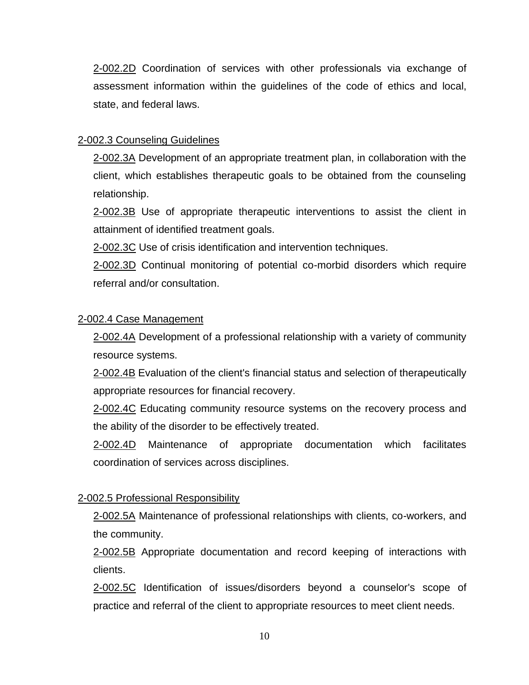2-002.2D Coordination of services with other professionals via exchange of assessment information within the guidelines of the code of ethics and local, state, and federal laws.

#### 2-002.3 Counseling Guidelines

2-002.3A Development of an appropriate treatment plan, in collaboration with the client, which establishes therapeutic goals to be obtained from the counseling relationship.

2-002.3B Use of appropriate therapeutic interventions to assist the client in attainment of identified treatment goals.

2-002.3C Use of crisis identification and intervention techniques.

2-002.3D Continual monitoring of potential co-morbid disorders which require referral and/or consultation.

#### 2-002.4 Case Management

2-002.4A Development of a professional relationship with a variety of community resource systems.

2-002.4B Evaluation of the client's financial status and selection of therapeutically appropriate resources for financial recovery.

2-002.4C Educating community resource systems on the recovery process and the ability of the disorder to be effectively treated.

2-002.4D Maintenance of appropriate documentation which facilitates coordination of services across disciplines.

#### 2-002.5 Professional Responsibility

2-002.5A Maintenance of professional relationships with clients, co-workers, and the community.

2-002.5B Appropriate documentation and record keeping of interactions with clients.

2-002.5C Identification of issues/disorders beyond a counselor's scope of practice and referral of the client to appropriate resources to meet client needs.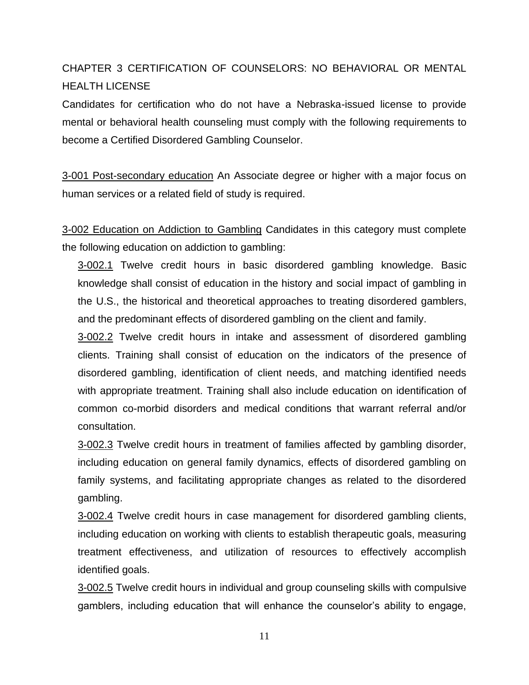CHAPTER 3 CERTIFICATION OF COUNSELORS: NO BEHAVIORAL OR MENTAL HEALTH LICENSE

Candidates for certification who do not have a Nebraska-issued license to provide mental or behavioral health counseling must comply with the following requirements to become a Certified Disordered Gambling Counselor.

3-001 Post-secondary education An Associate degree or higher with a major focus on human services or a related field of study is required.

3-002 Education on Addiction to Gambling Candidates in this category must complete the following education on addiction to gambling:

3-002.1 Twelve credit hours in basic disordered gambling knowledge. Basic knowledge shall consist of education in the history and social impact of gambling in the U.S., the historical and theoretical approaches to treating disordered gamblers, and the predominant effects of disordered gambling on the client and family.

3-002.2 Twelve credit hours in intake and assessment of disordered gambling clients. Training shall consist of education on the indicators of the presence of disordered gambling, identification of client needs, and matching identified needs with appropriate treatment. Training shall also include education on identification of common co-morbid disorders and medical conditions that warrant referral and/or consultation.

3-002.3 Twelve credit hours in treatment of families affected by gambling disorder, including education on general family dynamics, effects of disordered gambling on family systems, and facilitating appropriate changes as related to the disordered gambling.

3-002.4 Twelve credit hours in case management for disordered gambling clients, including education on working with clients to establish therapeutic goals, measuring treatment effectiveness, and utilization of resources to effectively accomplish identified goals.

3-002.5 Twelve credit hours in individual and group counseling skills with compulsive gamblers, including education that will enhance the counselor's ability to engage,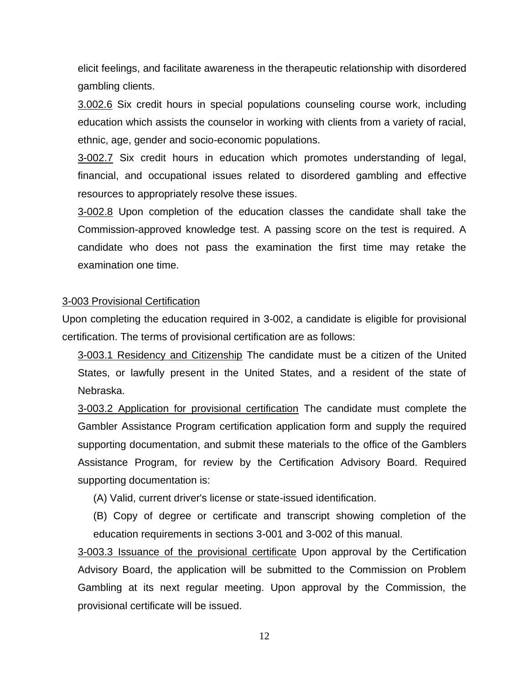elicit feelings, and facilitate awareness in the therapeutic relationship with disordered gambling clients.

3.002.6 Six credit hours in special populations counseling course work, including education which assists the counselor in working with clients from a variety of racial, ethnic, age, gender and socio-economic populations.

3-002.7 Six credit hours in education which promotes understanding of legal, financial, and occupational issues related to disordered gambling and effective resources to appropriately resolve these issues.

3-002.8 Upon completion of the education classes the candidate shall take the Commission-approved knowledge test. A passing score on the test is required. A candidate who does not pass the examination the first time may retake the examination one time.

#### 3-003 Provisional Certification

Upon completing the education required in 3-002, a candidate is eligible for provisional certification. The terms of provisional certification are as follows:

3-003.1 Residency and Citizenship The candidate must be a citizen of the United States, or lawfully present in the United States, and a resident of the state of Nebraska.

3-003.2 Application for provisional certification The candidate must complete the Gambler Assistance Program certification application form and supply the required supporting documentation, and submit these materials to the office of the Gamblers Assistance Program, for review by the Certification Advisory Board. Required supporting documentation is:

(A) Valid, current driver's license or state-issued identification.

(B) Copy of degree or certificate and transcript showing completion of the education requirements in sections 3-001 and 3-002 of this manual.

3-003.3 Issuance of the provisional certificate Upon approval by the Certification Advisory Board, the application will be submitted to the Commission on Problem Gambling at its next regular meeting. Upon approval by the Commission, the provisional certificate will be issued.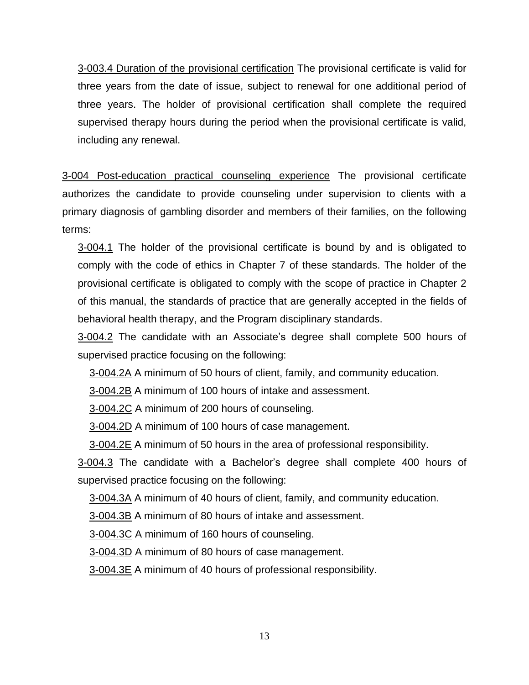3-003.4 Duration of the provisional certification The provisional certificate is valid for three years from the date of issue, subject to renewal for one additional period of three years. The holder of provisional certification shall complete the required supervised therapy hours during the period when the provisional certificate is valid, including any renewal.

3-004 Post-education practical counseling experience The provisional certificate authorizes the candidate to provide counseling under supervision to clients with a primary diagnosis of gambling disorder and members of their families, on the following terms:

3-004.1 The holder of the provisional certificate is bound by and is obligated to comply with the code of ethics in Chapter 7 of these standards. The holder of the provisional certificate is obligated to comply with the scope of practice in Chapter 2 of this manual, the standards of practice that are generally accepted in the fields of behavioral health therapy, and the Program disciplinary standards.

3-004.2 The candidate with an Associate's degree shall complete 500 hours of supervised practice focusing on the following:

3-004.2A A minimum of 50 hours of client, family, and community education.

3-004.2B A minimum of 100 hours of intake and assessment.

3-004.2C A minimum of 200 hours of counseling.

3-004.2D A minimum of 100 hours of case management.

3-004.2E A minimum of 50 hours in the area of professional responsibility.

3-004.3 The candidate with a Bachelor's degree shall complete 400 hours of supervised practice focusing on the following:

3-004.3A A minimum of 40 hours of client, family, and community education.

3-004.3B A minimum of 80 hours of intake and assessment.

3-004.3C A minimum of 160 hours of counseling.

3-004.3D A minimum of 80 hours of case management.

3-004.3E A minimum of 40 hours of professional responsibility.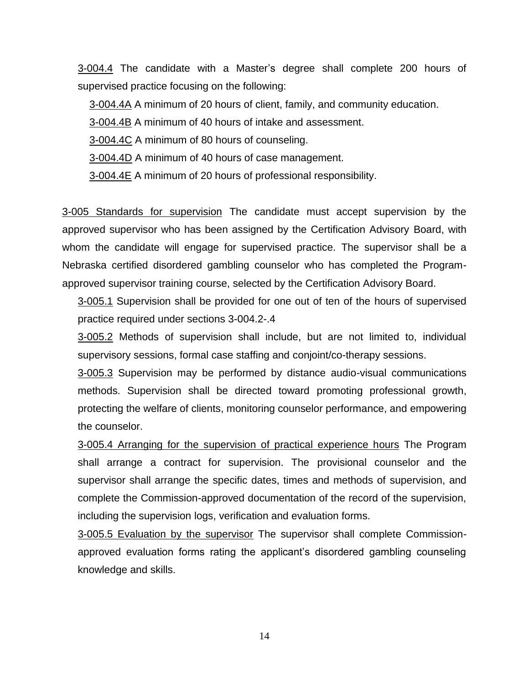3-004.4 The candidate with a Master's degree shall complete 200 hours of supervised practice focusing on the following:

3-004.4A A minimum of 20 hours of client, family, and community education.

3-004.4B A minimum of 40 hours of intake and assessment.

3-004.4C A minimum of 80 hours of counseling.

3-004.4D A minimum of 40 hours of case management.

3-004.4E A minimum of 20 hours of professional responsibility.

3-005 Standards for supervision The candidate must accept supervision by the approved supervisor who has been assigned by the Certification Advisory Board, with whom the candidate will engage for supervised practice. The supervisor shall be a Nebraska certified disordered gambling counselor who has completed the Programapproved supervisor training course, selected by the Certification Advisory Board.

3-005.1 Supervision shall be provided for one out of ten of the hours of supervised practice required under sections 3-004.2-.4

3-005.2 Methods of supervision shall include, but are not limited to, individual supervisory sessions, formal case staffing and conjoint/co-therapy sessions.

3-005.3 Supervision may be performed by distance audio-visual communications methods. Supervision shall be directed toward promoting professional growth, protecting the welfare of clients, monitoring counselor performance, and empowering the counselor.

3-005.4 Arranging for the supervision of practical experience hours The Program shall arrange a contract for supervision. The provisional counselor and the supervisor shall arrange the specific dates, times and methods of supervision, and complete the Commission-approved documentation of the record of the supervision, including the supervision logs, verification and evaluation forms.

3-005.5 Evaluation by the supervisor The supervisor shall complete Commissionapproved evaluation forms rating the applicant's disordered gambling counseling knowledge and skills.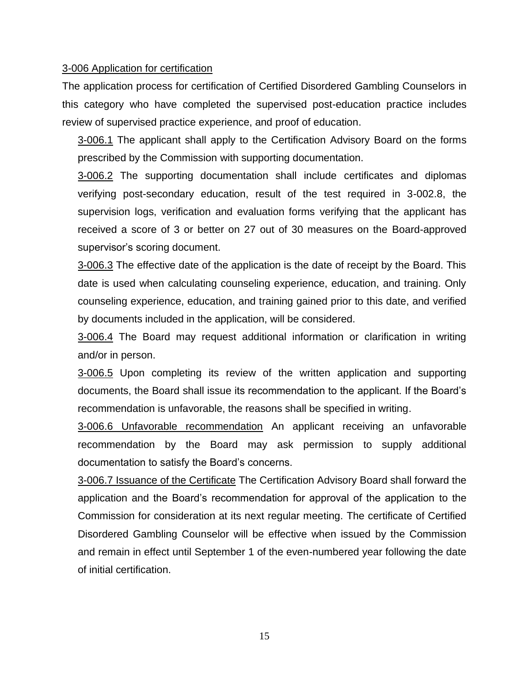#### 3-006 Application for certification

The application process for certification of Certified Disordered Gambling Counselors in this category who have completed the supervised post-education practice includes review of supervised practice experience, and proof of education.

3-006.1 The applicant shall apply to the Certification Advisory Board on the forms prescribed by the Commission with supporting documentation.

3-006.2 The supporting documentation shall include certificates and diplomas verifying post-secondary education, result of the test required in 3-002.8, the supervision logs, verification and evaluation forms verifying that the applicant has received a score of 3 or better on 27 out of 30 measures on the Board-approved supervisor's scoring document.

3-006.3 The effective date of the application is the date of receipt by the Board. This date is used when calculating counseling experience, education, and training. Only counseling experience, education, and training gained prior to this date, and verified by documents included in the application, will be considered.

3-006.4 The Board may request additional information or clarification in writing and/or in person.

3-006.5 Upon completing its review of the written application and supporting documents, the Board shall issue its recommendation to the applicant. If the Board's recommendation is unfavorable, the reasons shall be specified in writing.

3-006.6 Unfavorable recommendation An applicant receiving an unfavorable recommendation by the Board may ask permission to supply additional documentation to satisfy the Board's concerns.

3-006.7 Issuance of the Certificate The Certification Advisory Board shall forward the application and the Board's recommendation for approval of the application to the Commission for consideration at its next regular meeting. The certificate of Certified Disordered Gambling Counselor will be effective when issued by the Commission and remain in effect until September 1 of the even-numbered year following the date of initial certification.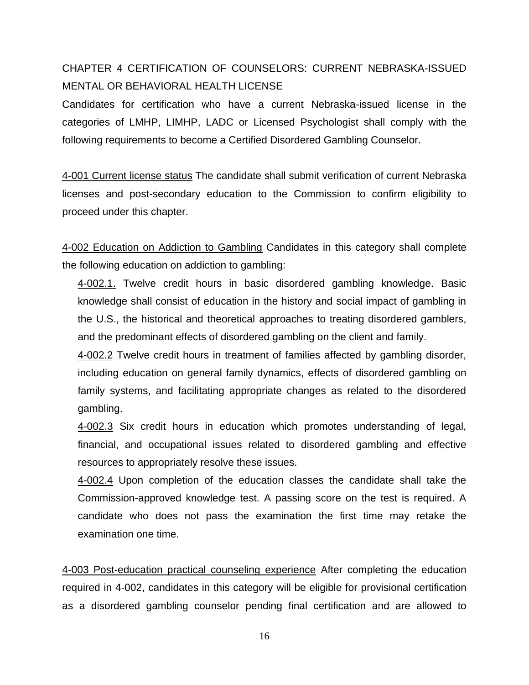### CHAPTER 4 CERTIFICATION OF COUNSELORS: CURRENT NEBRASKA-ISSUED MENTAL OR BEHAVIORAL HEALTH LICENSE

Candidates for certification who have a current Nebraska-issued license in the categories of LMHP, LIMHP, LADC or Licensed Psychologist shall comply with the following requirements to become a Certified Disordered Gambling Counselor.

4-001 Current license status The candidate shall submit verification of current Nebraska licenses and post-secondary education to the Commission to confirm eligibility to proceed under this chapter.

4-002 Education on Addiction to Gambling Candidates in this category shall complete the following education on addiction to gambling:

4-002.1. Twelve credit hours in basic disordered gambling knowledge. Basic knowledge shall consist of education in the history and social impact of gambling in the U.S., the historical and theoretical approaches to treating disordered gamblers, and the predominant effects of disordered gambling on the client and family.

4-002.2 Twelve credit hours in treatment of families affected by gambling disorder, including education on general family dynamics, effects of disordered gambling on family systems, and facilitating appropriate changes as related to the disordered gambling.

4-002.3 Six credit hours in education which promotes understanding of legal, financial, and occupational issues related to disordered gambling and effective resources to appropriately resolve these issues.

4-002.4 Upon completion of the education classes the candidate shall take the Commission-approved knowledge test. A passing score on the test is required. A candidate who does not pass the examination the first time may retake the examination one time.

4-003 Post-education practical counseling experience After completing the education required in 4-002, candidates in this category will be eligible for provisional certification as a disordered gambling counselor pending final certification and are allowed to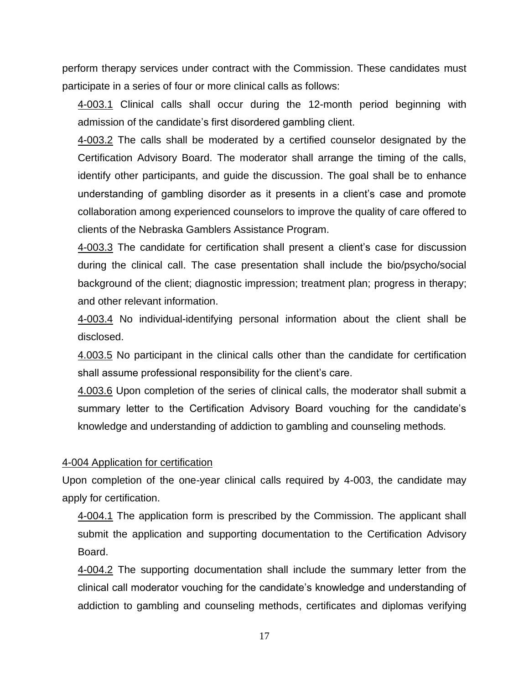perform therapy services under contract with the Commission. These candidates must participate in a series of four or more clinical calls as follows:

4-003.1 Clinical calls shall occur during the 12-month period beginning with admission of the candidate's first disordered gambling client.

4-003.2 The calls shall be moderated by a certified counselor designated by the Certification Advisory Board. The moderator shall arrange the timing of the calls, identify other participants, and guide the discussion. The goal shall be to enhance understanding of gambling disorder as it presents in a client's case and promote collaboration among experienced counselors to improve the quality of care offered to clients of the Nebraska Gamblers Assistance Program.

4-003.3 The candidate for certification shall present a client's case for discussion during the clinical call. The case presentation shall include the bio/psycho/social background of the client; diagnostic impression; treatment plan; progress in therapy; and other relevant information.

4-003.4 No individual-identifying personal information about the client shall be disclosed.

4.003.5 No participant in the clinical calls other than the candidate for certification shall assume professional responsibility for the client's care.

4.003.6 Upon completion of the series of clinical calls, the moderator shall submit a summary letter to the Certification Advisory Board vouching for the candidate's knowledge and understanding of addiction to gambling and counseling methods.

#### 4-004 Application for certification

Upon completion of the one-year clinical calls required by 4-003, the candidate may apply for certification.

4-004.1 The application form is prescribed by the Commission. The applicant shall submit the application and supporting documentation to the Certification Advisory Board.

4-004.2 The supporting documentation shall include the summary letter from the clinical call moderator vouching for the candidate's knowledge and understanding of addiction to gambling and counseling methods, certificates and diplomas verifying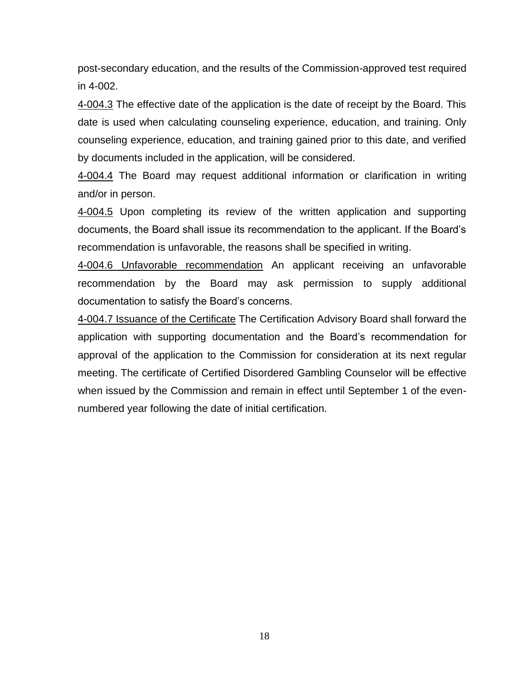post-secondary education, and the results of the Commission-approved test required in 4-002.

4-004.3 The effective date of the application is the date of receipt by the Board. This date is used when calculating counseling experience, education, and training. Only counseling experience, education, and training gained prior to this date, and verified by documents included in the application, will be considered.

4-004.4 The Board may request additional information or clarification in writing and/or in person.

4-004.5 Upon completing its review of the written application and supporting documents, the Board shall issue its recommendation to the applicant. If the Board's recommendation is unfavorable, the reasons shall be specified in writing.

4-004.6 Unfavorable recommendation An applicant receiving an unfavorable recommendation by the Board may ask permission to supply additional documentation to satisfy the Board's concerns.

4-004.7 Issuance of the Certificate The Certification Advisory Board shall forward the application with supporting documentation and the Board's recommendation for approval of the application to the Commission for consideration at its next regular meeting. The certificate of Certified Disordered Gambling Counselor will be effective when issued by the Commission and remain in effect until September 1 of the evennumbered year following the date of initial certification.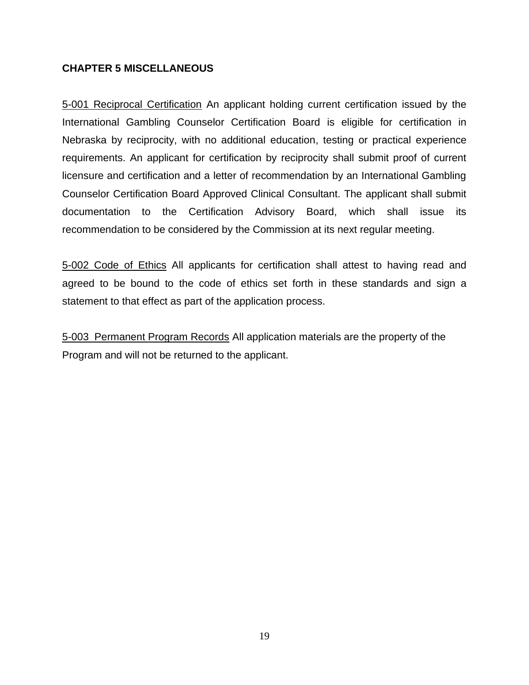#### **CHAPTER 5 MISCELLANEOUS**

5-001 Reciprocal Certification An applicant holding current certification issued by the International Gambling Counselor Certification Board is eligible for certification in Nebraska by reciprocity, with no additional education, testing or practical experience requirements. An applicant for certification by reciprocity shall submit proof of current licensure and certification and a letter of recommendation by an International Gambling Counselor Certification Board Approved Clinical Consultant. The applicant shall submit documentation to the Certification Advisory Board, which shall issue its recommendation to be considered by the Commission at its next regular meeting.

5-002 Code of Ethics All applicants for certification shall attest to having read and agreed to be bound to the code of ethics set forth in these standards and sign a statement to that effect as part of the application process.

5-003 Permanent Program Records All application materials are the property of the Program and will not be returned to the applicant.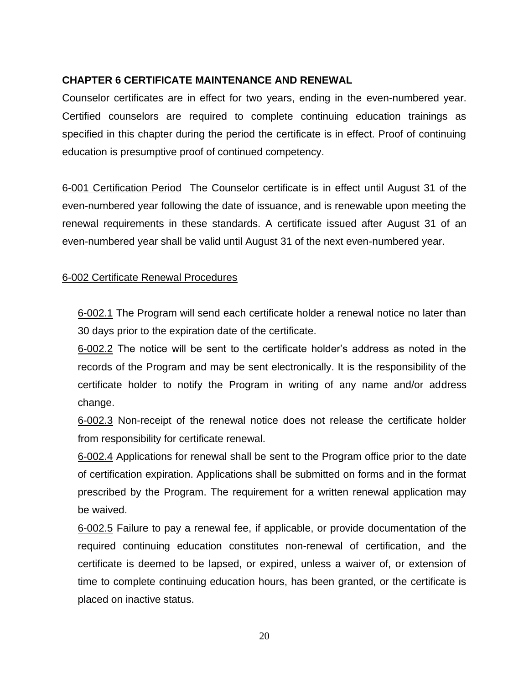#### **CHAPTER 6 CERTIFICATE MAINTENANCE AND RENEWAL**

Counselor certificates are in effect for two years, ending in the even-numbered year. Certified counselors are required to complete continuing education trainings as specified in this chapter during the period the certificate is in effect. Proof of continuing education is presumptive proof of continued competency.

6-001 Certification Period The Counselor certificate is in effect until August 31 of the even-numbered year following the date of issuance, and is renewable upon meeting the renewal requirements in these standards. A certificate issued after August 31 of an even-numbered year shall be valid until August 31 of the next even-numbered year.

#### 6-002 Certificate Renewal Procedures

6-002.1 The Program will send each certificate holder a renewal notice no later than 30 days prior to the expiration date of the certificate.

6-002.2 The notice will be sent to the certificate holder's address as noted in the records of the Program and may be sent electronically. It is the responsibility of the certificate holder to notify the Program in writing of any name and/or address change.

6-002.3 Non-receipt of the renewal notice does not release the certificate holder from responsibility for certificate renewal.

6-002.4 Applications for renewal shall be sent to the Program office prior to the date of certification expiration. Applications shall be submitted on forms and in the format prescribed by the Program. The requirement for a written renewal application may be waived.

6-002.5 Failure to pay a renewal fee, if applicable, or provide documentation of the required continuing education constitutes non-renewal of certification, and the certificate is deemed to be lapsed, or expired, unless a waiver of, or extension of time to complete continuing education hours, has been granted, or the certificate is placed on inactive status.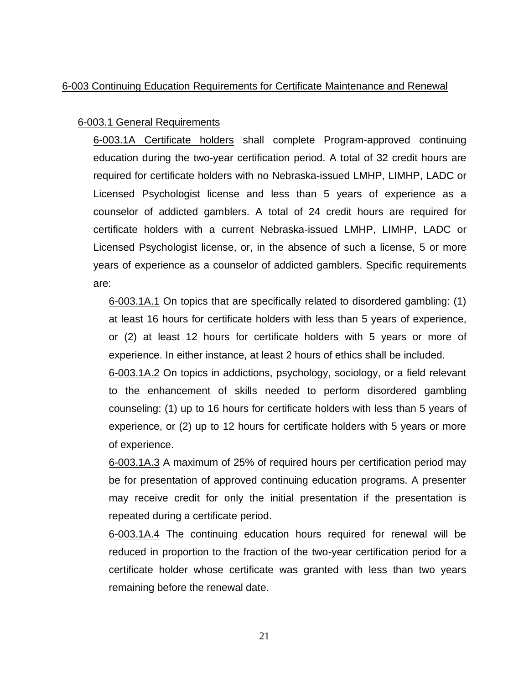#### 6-003 Continuing Education Requirements for Certificate Maintenance and Renewal

#### 6-003.1 General Requirements

6-003.1A Certificate holders shall complete Program-approved continuing education during the two-year certification period. A total of 32 credit hours are required for certificate holders with no Nebraska-issued LMHP, LIMHP, LADC or Licensed Psychologist license and less than 5 years of experience as a counselor of addicted gamblers. A total of 24 credit hours are required for certificate holders with a current Nebraska-issued LMHP, LIMHP, LADC or Licensed Psychologist license, or, in the absence of such a license, 5 or more years of experience as a counselor of addicted gamblers. Specific requirements are:

6-003.1A.1 On topics that are specifically related to disordered gambling: (1) at least 16 hours for certificate holders with less than 5 years of experience, or (2) at least 12 hours for certificate holders with 5 years or more of experience. In either instance, at least 2 hours of ethics shall be included.

6-003.1A.2 On topics in addictions, psychology, sociology, or a field relevant to the enhancement of skills needed to perform disordered gambling counseling: (1) up to 16 hours for certificate holders with less than 5 years of experience, or (2) up to 12 hours for certificate holders with 5 years or more of experience.

6-003.1A.3 A maximum of 25% of required hours per certification period may be for presentation of approved continuing education programs. A presenter may receive credit for only the initial presentation if the presentation is repeated during a certificate period.

6-003.1A.4 The continuing education hours required for renewal will be reduced in proportion to the fraction of the two-year certification period for a certificate holder whose certificate was granted with less than two years remaining before the renewal date.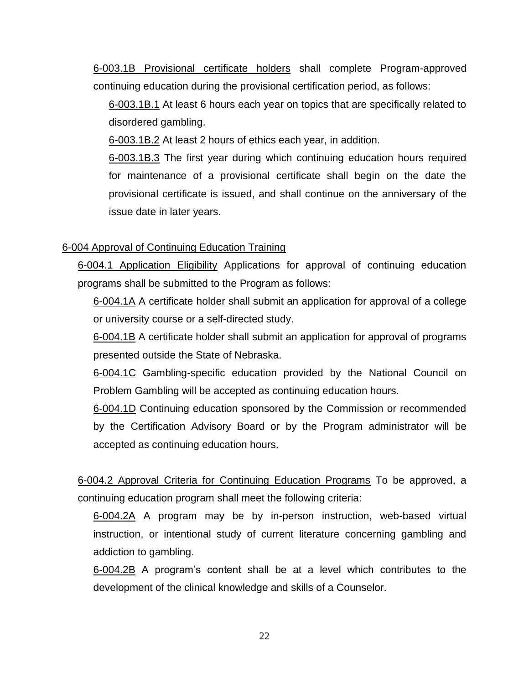6-003.1B Provisional certificate holders shall complete Program-approved continuing education during the provisional certification period, as follows:

6-003.1B.1 At least 6 hours each year on topics that are specifically related to disordered gambling.

6-003.1B.2 At least 2 hours of ethics each year, in addition.

6-003.1B.3 The first year during which continuing education hours required for maintenance of a provisional certificate shall begin on the date the provisional certificate is issued, and shall continue on the anniversary of the issue date in later years.

#### 6-004 Approval of Continuing Education Training

6-004.1 Application Eligibility Applications for approval of continuing education programs shall be submitted to the Program as follows:

6-004.1A A certificate holder shall submit an application for approval of a college or university course or a self-directed study.

6-004.1B A certificate holder shall submit an application for approval of programs presented outside the State of Nebraska.

6-004.1C Gambling-specific education provided by the National Council on Problem Gambling will be accepted as continuing education hours.

6-004.1D Continuing education sponsored by the Commission or recommended by the Certification Advisory Board or by the Program administrator will be accepted as continuing education hours.

6-004.2 Approval Criteria for Continuing Education Programs To be approved, a continuing education program shall meet the following criteria:

6-004.2A A program may be by in-person instruction, web-based virtual instruction, or intentional study of current literature concerning gambling and addiction to gambling.

6-004.2B A program's content shall be at a level which contributes to the development of the clinical knowledge and skills of a Counselor.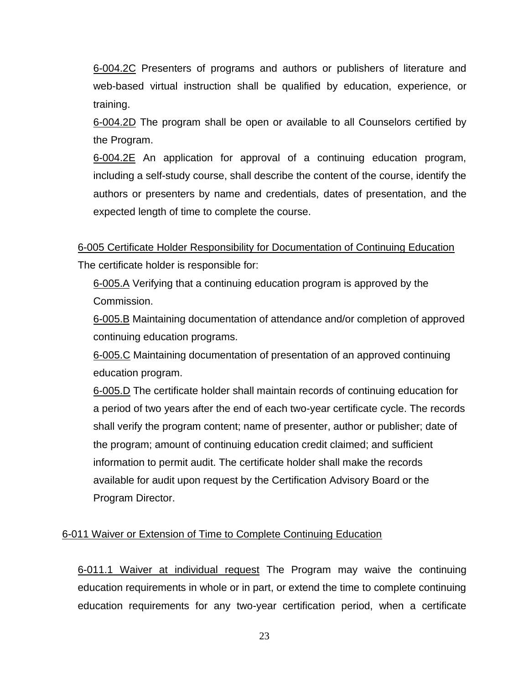6-004.2C Presenters of programs and authors or publishers of literature and web-based virtual instruction shall be qualified by education, experience, or training.

6-004.2D The program shall be open or available to all Counselors certified by the Program.

6-004.2E An application for approval of a continuing education program, including a self-study course, shall describe the content of the course, identify the authors or presenters by name and credentials, dates of presentation, and the expected length of time to complete the course.

6-005 Certificate Holder Responsibility for Documentation of Continuing Education The certificate holder is responsible for:

6-005.A Verifying that a continuing education program is approved by the Commission.

6-005.B Maintaining documentation of attendance and/or completion of approved continuing education programs.

6-005.C Maintaining documentation of presentation of an approved continuing education program.

6-005.D The certificate holder shall maintain records of continuing education for a period of two years after the end of each two-year certificate cycle. The records shall verify the program content; name of presenter, author or publisher; date of the program; amount of continuing education credit claimed; and sufficient information to permit audit. The certificate holder shall make the records available for audit upon request by the Certification Advisory Board or the Program Director.

#### 6-011 Waiver or Extension of Time to Complete Continuing Education

6-011.1 Waiver at individual request The Program may waive the continuing education requirements in whole or in part, or extend the time to complete continuing education requirements for any two-year certification period, when a certificate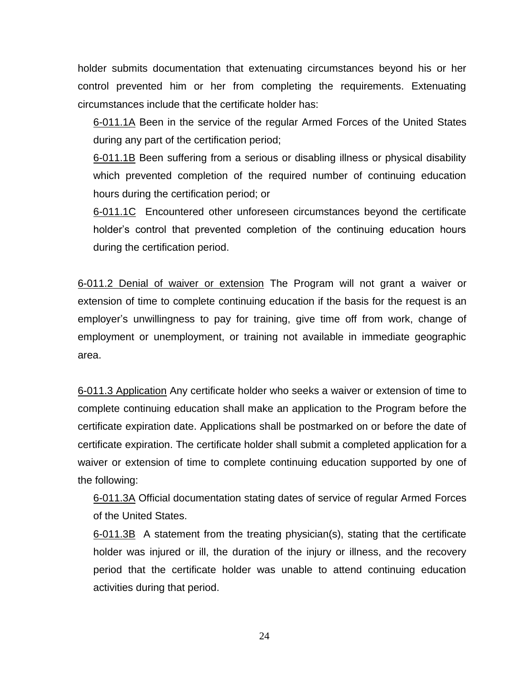holder submits documentation that extenuating circumstances beyond his or her control prevented him or her from completing the requirements. Extenuating circumstances include that the certificate holder has:

6-011.1A Been in the service of the regular Armed Forces of the United States during any part of the certification period;

6-011.1B Been suffering from a serious or disabling illness or physical disability which prevented completion of the required number of continuing education hours during the certification period; or

6-011.1C Encountered other unforeseen circumstances beyond the certificate holder's control that prevented completion of the continuing education hours during the certification period.

6-011.2 Denial of waiver or extension The Program will not grant a waiver or extension of time to complete continuing education if the basis for the request is an employer's unwillingness to pay for training, give time off from work, change of employment or unemployment, or training not available in immediate geographic area.

6-011.3 Application Any certificate holder who seeks a waiver or extension of time to complete continuing education shall make an application to the Program before the certificate expiration date. Applications shall be postmarked on or before the date of certificate expiration. The certificate holder shall submit a completed application for a waiver or extension of time to complete continuing education supported by one of the following:

6-011.3A Official documentation stating dates of service of regular Armed Forces of the United States.

6-011.3B A statement from the treating physician(s), stating that the certificate holder was injured or ill, the duration of the injury or illness, and the recovery period that the certificate holder was unable to attend continuing education activities during that period.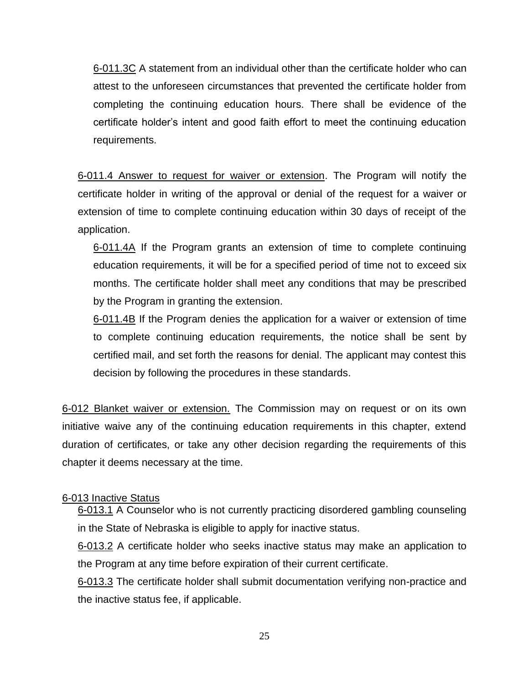6-011.3C A statement from an individual other than the certificate holder who can attest to the unforeseen circumstances that prevented the certificate holder from completing the continuing education hours. There shall be evidence of the certificate holder's intent and good faith effort to meet the continuing education requirements.

6-011.4 Answer to request for waiver or extension. The Program will notify the certificate holder in writing of the approval or denial of the request for a waiver or extension of time to complete continuing education within 30 days of receipt of the application.

6-011.4A If the Program grants an extension of time to complete continuing education requirements, it will be for a specified period of time not to exceed six months. The certificate holder shall meet any conditions that may be prescribed by the Program in granting the extension.

6-011.4B If the Program denies the application for a waiver or extension of time to complete continuing education requirements, the notice shall be sent by certified mail, and set forth the reasons for denial. The applicant may contest this decision by following the procedures in these standards.

6-012 Blanket waiver or extension. The Commission may on request or on its own initiative waive any of the continuing education requirements in this chapter, extend duration of certificates, or take any other decision regarding the requirements of this chapter it deems necessary at the time.

#### 6-013 Inactive Status

6-013.1 A Counselor who is not currently practicing disordered gambling counseling in the State of Nebraska is eligible to apply for inactive status.

6-013.2 A certificate holder who seeks inactive status may make an application to the Program at any time before expiration of their current certificate.

6-013.3 The certificate holder shall submit documentation verifying non-practice and the inactive status fee, if applicable.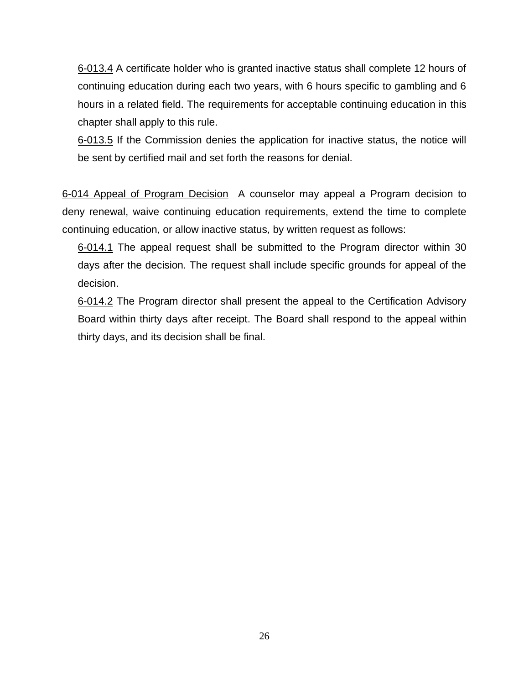6-013.4 A certificate holder who is granted inactive status shall complete 12 hours of continuing education during each two years, with 6 hours specific to gambling and 6 hours in a related field. The requirements for acceptable continuing education in this chapter shall apply to this rule.

6-013.5 If the Commission denies the application for inactive status, the notice will be sent by certified mail and set forth the reasons for denial.

6-014 Appeal of Program Decision A counselor may appeal a Program decision to deny renewal, waive continuing education requirements, extend the time to complete continuing education, or allow inactive status, by written request as follows:

6-014.1 The appeal request shall be submitted to the Program director within 30 days after the decision. The request shall include specific grounds for appeal of the decision.

6-014.2 The Program director shall present the appeal to the Certification Advisory Board within thirty days after receipt. The Board shall respond to the appeal within thirty days, and its decision shall be final.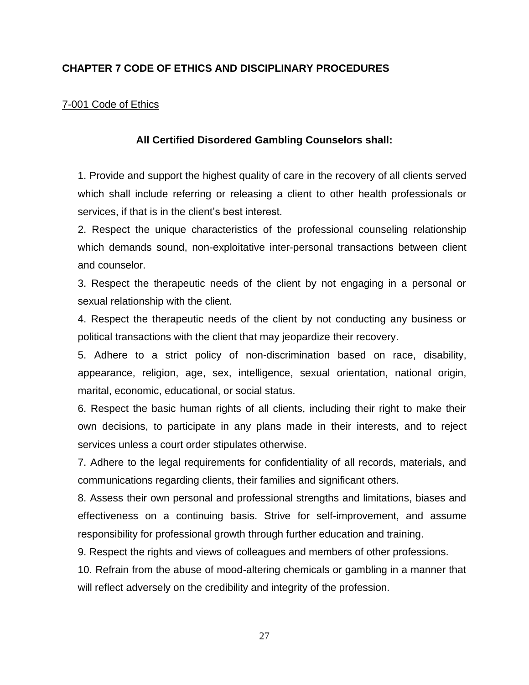#### **CHAPTER 7 CODE OF ETHICS AND DISCIPLINARY PROCEDURES**

#### 7-001 Code of Ethics

#### **All Certified Disordered Gambling Counselors shall:**

1. Provide and support the highest quality of care in the recovery of all clients served which shall include referring or releasing a client to other health professionals or services, if that is in the client's best interest.

2. Respect the unique characteristics of the professional counseling relationship which demands sound, non-exploitative inter-personal transactions between client and counselor.

3. Respect the therapeutic needs of the client by not engaging in a personal or sexual relationship with the client.

4. Respect the therapeutic needs of the client by not conducting any business or political transactions with the client that may jeopardize their recovery.

5. Adhere to a strict policy of non-discrimination based on race, disability, appearance, religion, age, sex, intelligence, sexual orientation, national origin, marital, economic, educational, or social status.

6. Respect the basic human rights of all clients, including their right to make their own decisions, to participate in any plans made in their interests, and to reject services unless a court order stipulates otherwise.

7. Adhere to the legal requirements for confidentiality of all records, materials, and communications regarding clients, their families and significant others.

8. Assess their own personal and professional strengths and limitations, biases and effectiveness on a continuing basis. Strive for self-improvement, and assume responsibility for professional growth through further education and training.

9. Respect the rights and views of colleagues and members of other professions.

10. Refrain from the abuse of mood-altering chemicals or gambling in a manner that will reflect adversely on the credibility and integrity of the profession.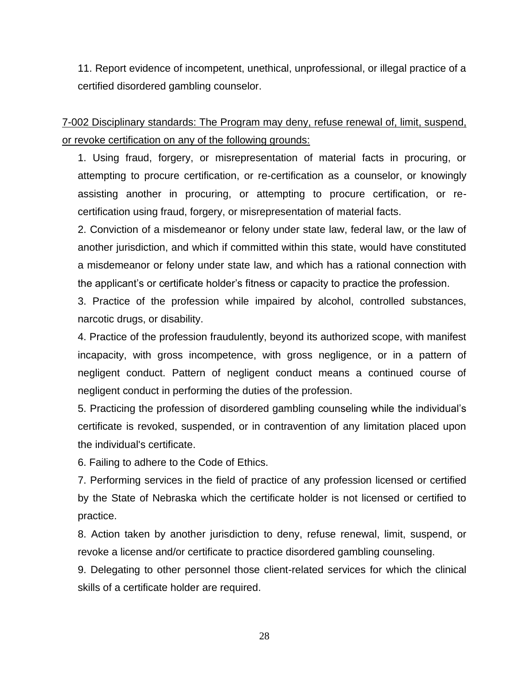11. Report evidence of incompetent, unethical, unprofessional, or illegal practice of a certified disordered gambling counselor.

7-002 Disciplinary standards: The Program may deny, refuse renewal of, limit, suspend, or revoke certification on any of the following grounds:

1. Using fraud, forgery, or misrepresentation of material facts in procuring, or attempting to procure certification, or re-certification as a counselor, or knowingly assisting another in procuring, or attempting to procure certification, or recertification using fraud, forgery, or misrepresentation of material facts.

2. Conviction of a misdemeanor or felony under state law, federal law, or the law of another jurisdiction, and which if committed within this state, would have constituted a misdemeanor or felony under state law, and which has a rational connection with the applicant's or certificate holder's fitness or capacity to practice the profession.

3. Practice of the profession while impaired by alcohol, controlled substances, narcotic drugs, or disability.

4. Practice of the profession fraudulently, beyond its authorized scope, with manifest incapacity, with gross incompetence, with gross negligence, or in a pattern of negligent conduct. Pattern of negligent conduct means a continued course of negligent conduct in performing the duties of the profession.

5. Practicing the profession of disordered gambling counseling while the individual's certificate is revoked, suspended, or in contravention of any limitation placed upon the individual's certificate.

6. Failing to adhere to the Code of Ethics.

7. Performing services in the field of practice of any profession licensed or certified by the State of Nebraska which the certificate holder is not licensed or certified to practice.

8. Action taken by another jurisdiction to deny, refuse renewal, limit, suspend, or revoke a license and/or certificate to practice disordered gambling counseling.

9. Delegating to other personnel those client-related services for which the clinical skills of a certificate holder are required.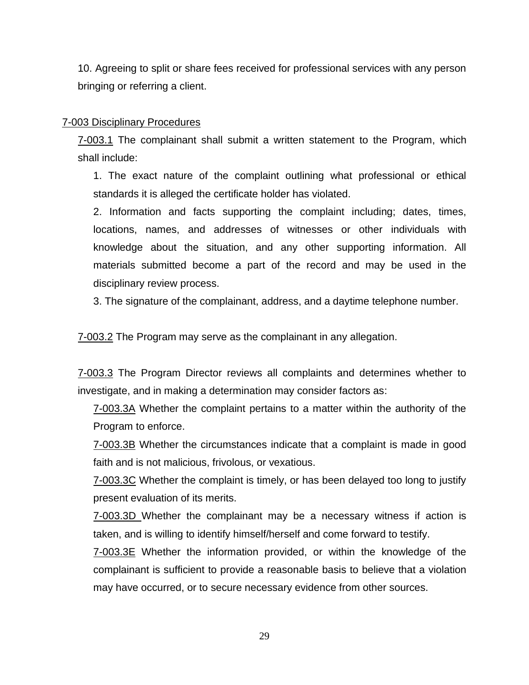10. Agreeing to split or share fees received for professional services with any person bringing or referring a client.

#### 7-003 Disciplinary Procedures

7-003.1 The complainant shall submit a written statement to the Program, which shall include:

1. The exact nature of the complaint outlining what professional or ethical standards it is alleged the certificate holder has violated.

2. Information and facts supporting the complaint including; dates, times, locations, names, and addresses of witnesses or other individuals with knowledge about the situation, and any other supporting information. All materials submitted become a part of the record and may be used in the disciplinary review process.

3. The signature of the complainant, address, and a daytime telephone number.

7-003.2 The Program may serve as the complainant in any allegation.

7-003.3 The Program Director reviews all complaints and determines whether to investigate, and in making a determination may consider factors as:

7-003.3A Whether the complaint pertains to a matter within the authority of the Program to enforce.

7-003.3B Whether the circumstances indicate that a complaint is made in good faith and is not malicious, frivolous, or vexatious.

7-003.3C Whether the complaint is timely, or has been delayed too long to justify present evaluation of its merits.

7-003.3D Whether the complainant may be a necessary witness if action is taken, and is willing to identify himself/herself and come forward to testify.

7-003.3E Whether the information provided, or within the knowledge of the complainant is sufficient to provide a reasonable basis to believe that a violation may have occurred, or to secure necessary evidence from other sources.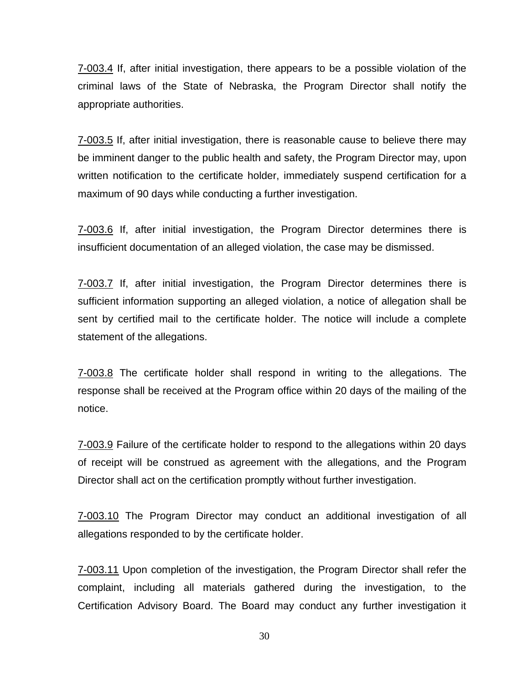7-003.4 If, after initial investigation, there appears to be a possible violation of the criminal laws of the State of Nebraska, the Program Director shall notify the appropriate authorities.

7-003.5 If, after initial investigation, there is reasonable cause to believe there may be imminent danger to the public health and safety, the Program Director may, upon written notification to the certificate holder, immediately suspend certification for a maximum of 90 days while conducting a further investigation.

7-003.6 If, after initial investigation, the Program Director determines there is insufficient documentation of an alleged violation, the case may be dismissed.

7-003.7 If, after initial investigation, the Program Director determines there is sufficient information supporting an alleged violation, a notice of allegation shall be sent by certified mail to the certificate holder. The notice will include a complete statement of the allegations.

7-003.8 The certificate holder shall respond in writing to the allegations. The response shall be received at the Program office within 20 days of the mailing of the notice.

7-003.9 Failure of the certificate holder to respond to the allegations within 20 days of receipt will be construed as agreement with the allegations, and the Program Director shall act on the certification promptly without further investigation.

7-003.10 The Program Director may conduct an additional investigation of all allegations responded to by the certificate holder.

7-003.11 Upon completion of the investigation, the Program Director shall refer the complaint, including all materials gathered during the investigation, to the Certification Advisory Board. The Board may conduct any further investigation it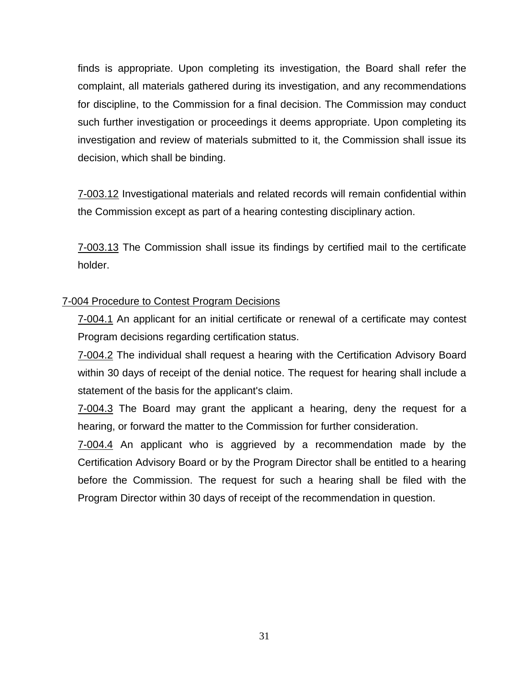finds is appropriate. Upon completing its investigation, the Board shall refer the complaint, all materials gathered during its investigation, and any recommendations for discipline, to the Commission for a final decision. The Commission may conduct such further investigation or proceedings it deems appropriate. Upon completing its investigation and review of materials submitted to it, the Commission shall issue its decision, which shall be binding.

7-003.12 Investigational materials and related records will remain confidential within the Commission except as part of a hearing contesting disciplinary action.

7-003.13 The Commission shall issue its findings by certified mail to the certificate holder.

#### 7-004 Procedure to Contest Program Decisions

7-004.1 An applicant for an initial certificate or renewal of a certificate may contest Program decisions regarding certification status.

7-004.2 The individual shall request a hearing with the Certification Advisory Board within 30 days of receipt of the denial notice. The request for hearing shall include a statement of the basis for the applicant's claim.

7-004.3 The Board may grant the applicant a hearing, deny the request for a hearing, or forward the matter to the Commission for further consideration.

7-004.4 An applicant who is aggrieved by a recommendation made by the Certification Advisory Board or by the Program Director shall be entitled to a hearing before the Commission. The request for such a hearing shall be filed with the Program Director within 30 days of receipt of the recommendation in question.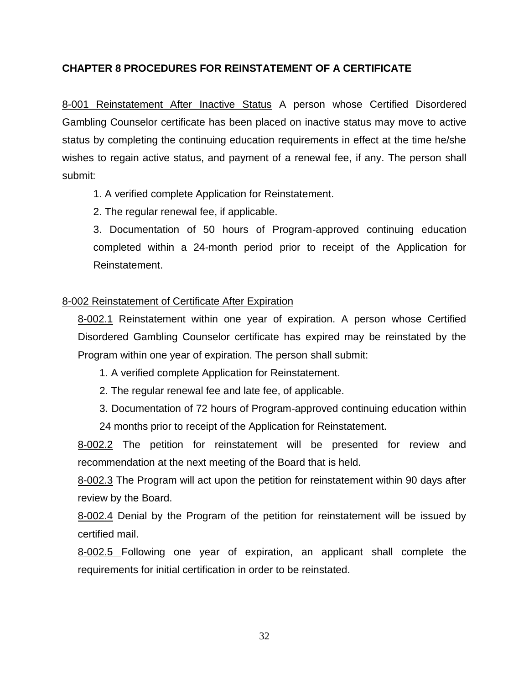#### **CHAPTER 8 PROCEDURES FOR REINSTATEMENT OF A CERTIFICATE**

8-001 Reinstatement After Inactive Status A person whose Certified Disordered Gambling Counselor certificate has been placed on inactive status may move to active status by completing the continuing education requirements in effect at the time he/she wishes to regain active status, and payment of a renewal fee, if any. The person shall submit:

1. A verified complete Application for Reinstatement.

2. The regular renewal fee, if applicable.

3. Documentation of 50 hours of Program-approved continuing education completed within a 24-month period prior to receipt of the Application for Reinstatement.

#### 8-002 Reinstatement of Certificate After Expiration

8-002.1 Reinstatement within one year of expiration. A person whose Certified Disordered Gambling Counselor certificate has expired may be reinstated by the Program within one year of expiration. The person shall submit:

1. A verified complete Application for Reinstatement.

- 2. The regular renewal fee and late fee, of applicable.
- 3. Documentation of 72 hours of Program-approved continuing education within
- 24 months prior to receipt of the Application for Reinstatement.

8-002.2 The petition for reinstatement will be presented for review and recommendation at the next meeting of the Board that is held.

8-002.3 The Program will act upon the petition for reinstatement within 90 days after review by the Board.

8-002.4 Denial by the Program of the petition for reinstatement will be issued by certified mail.

8-002.5 Following one year of expiration, an applicant shall complete the requirements for initial certification in order to be reinstated.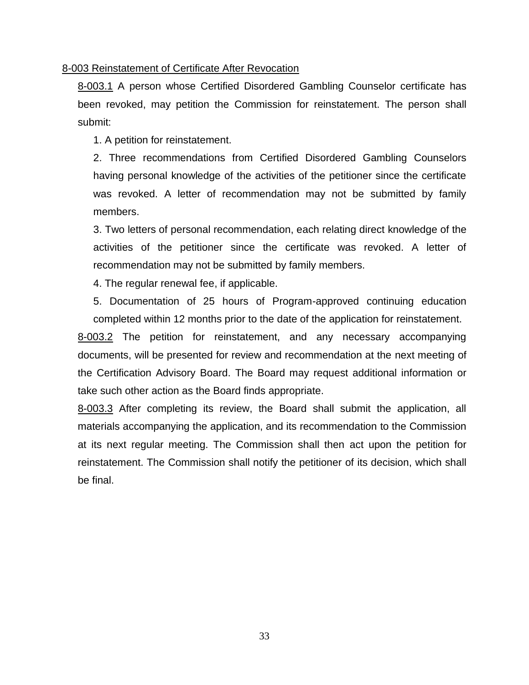#### 8-003 Reinstatement of Certificate After Revocation

8-003.1 A person whose Certified Disordered Gambling Counselor certificate has been revoked, may petition the Commission for reinstatement. The person shall submit:

1. A petition for reinstatement.

2. Three recommendations from Certified Disordered Gambling Counselors having personal knowledge of the activities of the petitioner since the certificate was revoked. A letter of recommendation may not be submitted by family members.

3. Two letters of personal recommendation, each relating direct knowledge of the activities of the petitioner since the certificate was revoked. A letter of recommendation may not be submitted by family members.

4. The regular renewal fee, if applicable.

5. Documentation of 25 hours of Program-approved continuing education completed within 12 months prior to the date of the application for reinstatement.

8-003.2 The petition for reinstatement, and any necessary accompanying documents, will be presented for review and recommendation at the next meeting of the Certification Advisory Board. The Board may request additional information or take such other action as the Board finds appropriate.

8-003.3 After completing its review, the Board shall submit the application, all materials accompanying the application, and its recommendation to the Commission at its next regular meeting. The Commission shall then act upon the petition for reinstatement. The Commission shall notify the petitioner of its decision, which shall be final.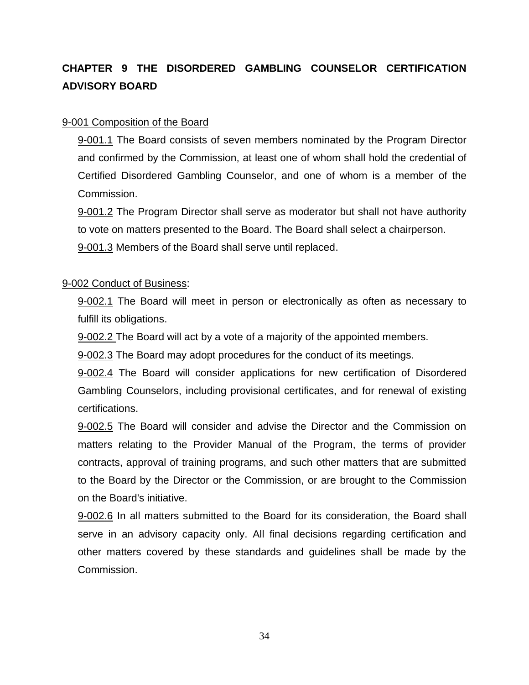### **CHAPTER 9 THE DISORDERED GAMBLING COUNSELOR CERTIFICATION ADVISORY BOARD**

#### 9-001 Composition of the Board

9-001.1 The Board consists of seven members nominated by the Program Director and confirmed by the Commission, at least one of whom shall hold the credential of Certified Disordered Gambling Counselor, and one of whom is a member of the Commission.

9-001.2 The Program Director shall serve as moderator but shall not have authority to vote on matters presented to the Board. The Board shall select a chairperson.

9-001.3 Members of the Board shall serve until replaced.

#### 9-002 Conduct of Business:

9-002.1 The Board will meet in person or electronically as often as necessary to fulfill its obligations.

9-002.2 The Board will act by a vote of a majority of the appointed members.

9-002.3 The Board may adopt procedures for the conduct of its meetings.

9-002.4 The Board will consider applications for new certification of Disordered Gambling Counselors, including provisional certificates, and for renewal of existing certifications.

9-002.5 The Board will consider and advise the Director and the Commission on matters relating to the Provider Manual of the Program, the terms of provider contracts, approval of training programs, and such other matters that are submitted to the Board by the Director or the Commission, or are brought to the Commission on the Board's initiative.

9-002.6 In all matters submitted to the Board for its consideration, the Board shall serve in an advisory capacity only. All final decisions regarding certification and other matters covered by these standards and guidelines shall be made by the Commission.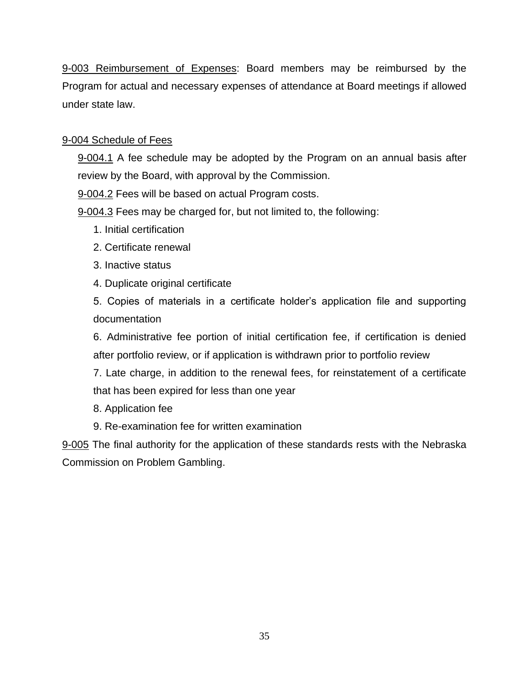9-003 Reimbursement of Expenses: Board members may be reimbursed by the Program for actual and necessary expenses of attendance at Board meetings if allowed under state law.

#### 9-004 Schedule of Fees

9-004.1 A fee schedule may be adopted by the Program on an annual basis after review by the Board, with approval by the Commission.

9-004.2 Fees will be based on actual Program costs.

9-004.3 Fees may be charged for, but not limited to, the following:

- 1. Initial certification
- 2. Certificate renewal
- 3. Inactive status
- 4. Duplicate original certificate

5. Copies of materials in a certificate holder's application file and supporting documentation

6. Administrative fee portion of initial certification fee, if certification is denied after portfolio review, or if application is withdrawn prior to portfolio review

7. Late charge, in addition to the renewal fees, for reinstatement of a certificate that has been expired for less than one year

8. Application fee

9. Re-examination fee for written examination

9-005 The final authority for the application of these standards rests with the Nebraska Commission on Problem Gambling.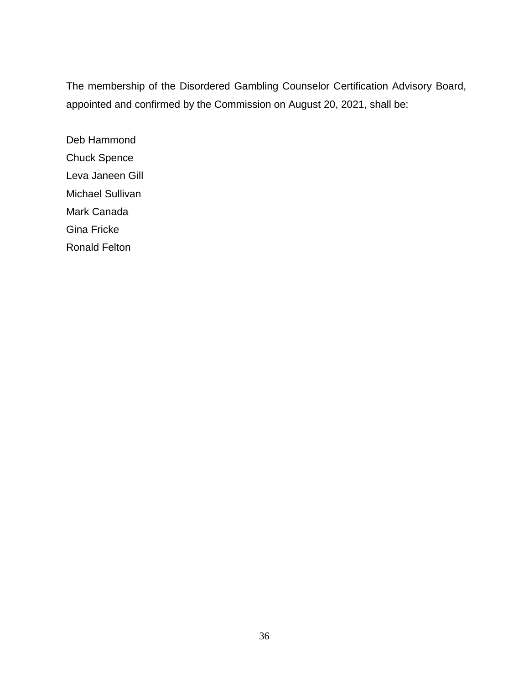The membership of the Disordered Gambling Counselor Certification Advisory Board, appointed and confirmed by the Commission on August 20, 2021, shall be:

Deb Hammond Chuck Spence Leva Janeen Gill Michael Sullivan Mark Canada Gina Fricke Ronald Felton